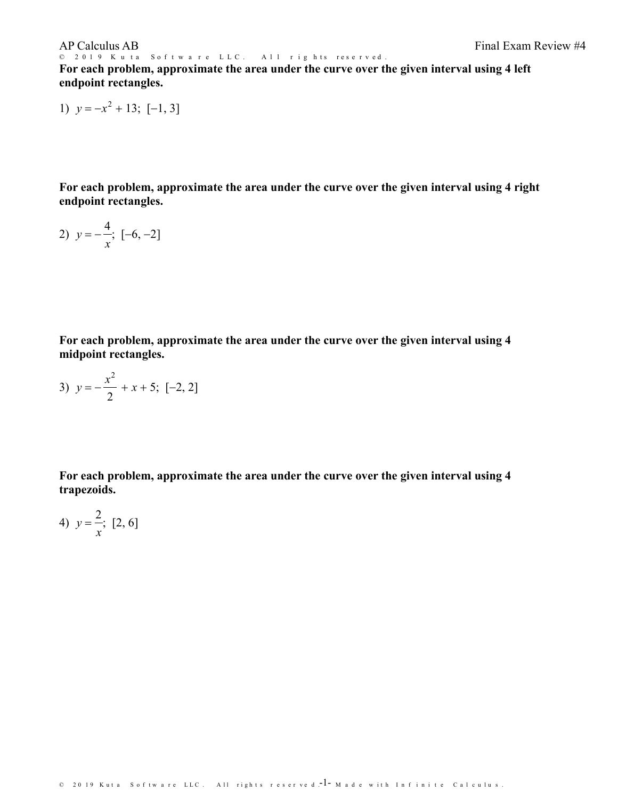© 2019 Kuta Software LLC. All rights reserved. **For each problem, approximate the area under the curve over the given interval using 4 left endpoint rectangles.**

1) 
$$
y = -x^2 + 13; [-1, 3]
$$

**For each problem, approximate the area under the curve over the given interval using 4 right endpoint rectangles.**

2) 
$$
y = -\frac{4}{x}
$$
;  $[-6, -2]$ 

**For each problem, approximate the area under the curve over the given interval using 4 midpoint rectangles.**

3) 
$$
y = -\frac{x^2}{2} + x + 5
$$
; [-2, 2]

**For each problem, approximate the area under the curve over the given interval using 4 trapezoids.**

4) 
$$
y = \frac{2}{x}
$$
; [2, 6]

© 2019 Kuta Software LLC. All rights reserved  $^{-1}$ – Made with Infinite Calculus.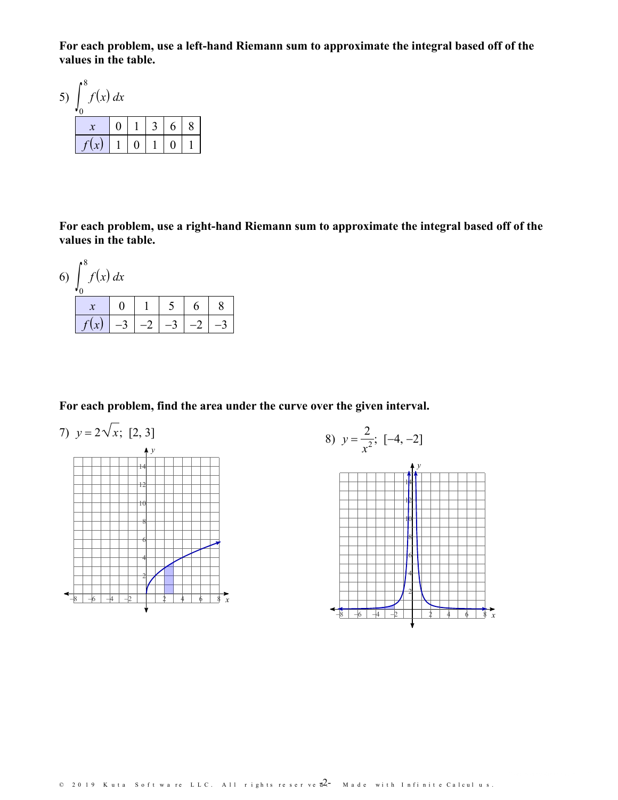For each problem, use a left-hand Riemann sum to approximate the integral based off of the values in the table.

| 5 <sup>2</sup> | 8ء<br>f(x) dx |   |   |  |   |  |
|----------------|---------------|---|---|--|---|--|
|                |               | 0 |   |  | 6 |  |
|                |               |   | 0 |  |   |  |

For each problem, use a right-hand Riemann sum to approximate the integral based off of the values in the table.



For each problem, find the area under the curve over the given interval.



8) 
$$
y = \frac{2}{x^2}
$$
; [-4, -2]

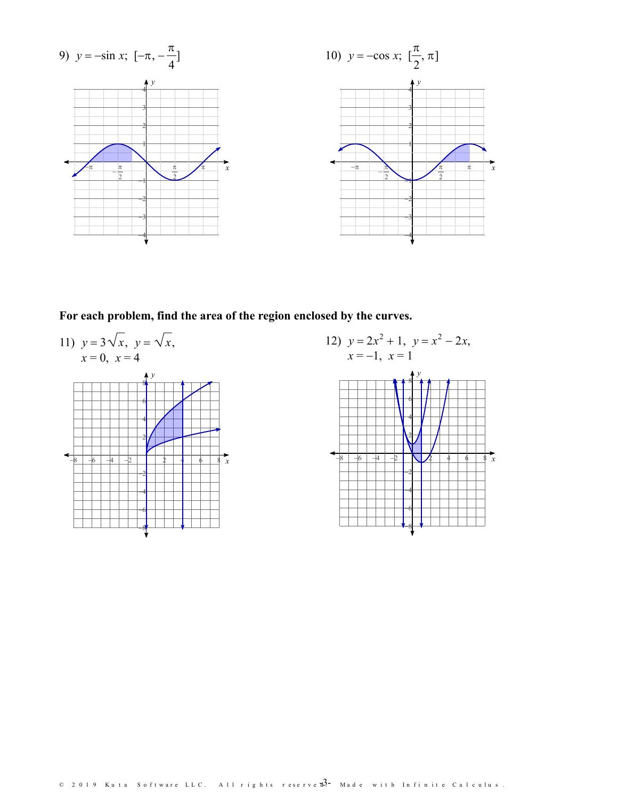

For each problem, find the area of the region enclosed by the curves.



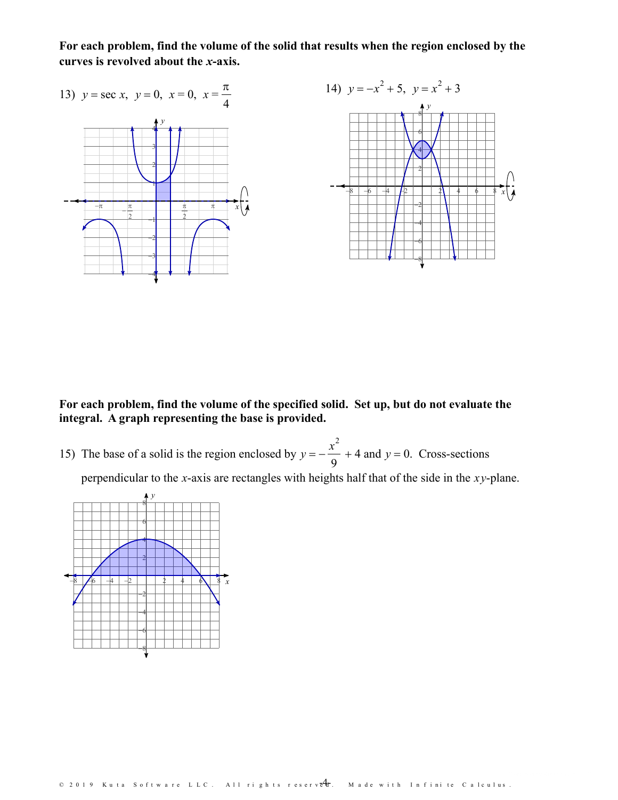**For each problem, find the volume of the solid that results when the region enclosed by the curves is revolved about the** *x***-axis.**



**For each problem, find the volume of the specified solid. Set up, but do not evaluate the integral. A graph representing the base is provided.**

15) The base of a solid is the region enclosed by  $y = -\frac{x^2}{2} + 4$  and  $y = 0$ . Cross-9  $+ 4$  and  $y = 0$ . Cross-sections

perpendicular to the *x*-axis are rectangles with heights half that of the side in the *xy*-plane.

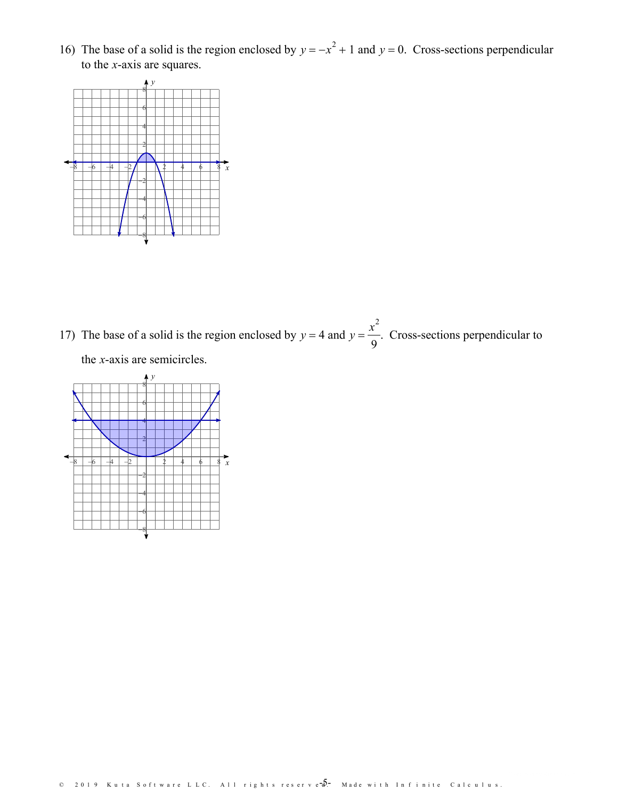16) The base of a solid is the region enclosed by  $y = -x^2 + 1$  and  $y = 0$ . Cross-sections perpendicular to the *x*-axis are squares.



17) The base of a solid is the region enclosed by  $y = 4$  and  $y = \frac{x^2}{2}$ . Cross-sections perpe  $9$ .Cross-sections perpendicular to the *x*-axis are semicircles.